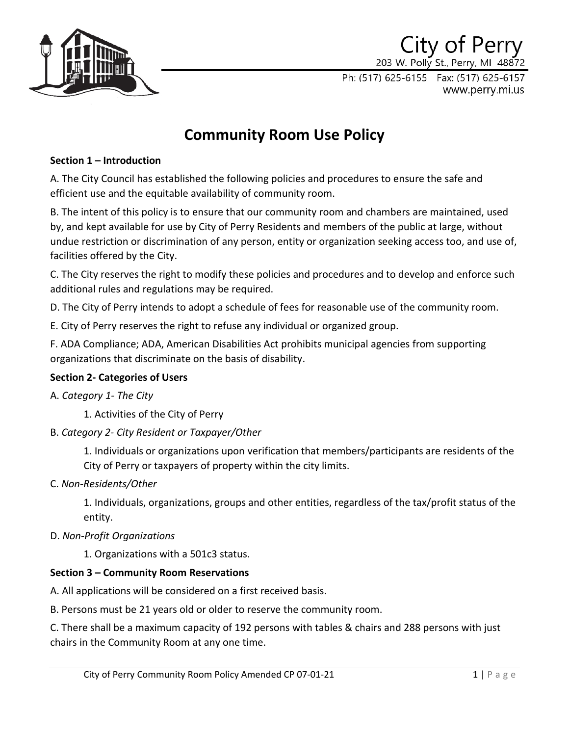

## City of Perry 203 W. Polly St., Perry, MI 48872

Ph: (517) 625-6155 Fax: (517) 625-6157 www.perry.mi.us

# **Community Room Use Policy**

## **Section 1 – Introduction**

A. The City Council has established the following policies and procedures to ensure the safe and efficient use and the equitable availability of community room.

B. The intent of this policy is to ensure that our community room and chambers are maintained, used by, and kept available for use by City of Perry Residents and members of the public at large, without undue restriction or discrimination of any person, entity or organization seeking access too, and use of, facilities offered by the City.

C. The City reserves the right to modify these policies and procedures and to develop and enforce such additional rules and regulations may be required.

D. The City of Perry intends to adopt a schedule of fees for reasonable use of the community room.

E. City of Perry reserves the right to refuse any individual or organized group.

F. ADA Compliance; ADA, American Disabilities Act prohibits municipal agencies from supporting organizations that discriminate on the basis of disability.

## **Section 2- Categories of Users**

## A. *Category 1- The City*

1. Activities of the City of Perry

B. *Category 2- City Resident or Taxpayer/Other*

1. Individuals or organizations upon verification that members/participants are residents of the City of Perry or taxpayers of property within the city limits.

C. *Non-Residents/Other*

1. Individuals, organizations, groups and other entities, regardless of the tax/profit status of the entity.

## D. *Non-Profit Organizations*

1. Organizations with a 501c3 status.

## **Section 3 – Community Room Reservations**

A. All applications will be considered on a first received basis.

B. Persons must be 21 years old or older to reserve the community room.

C. There shall be a maximum capacity of 192 persons with tables & chairs and 288 persons with just chairs in the Community Room at any one time.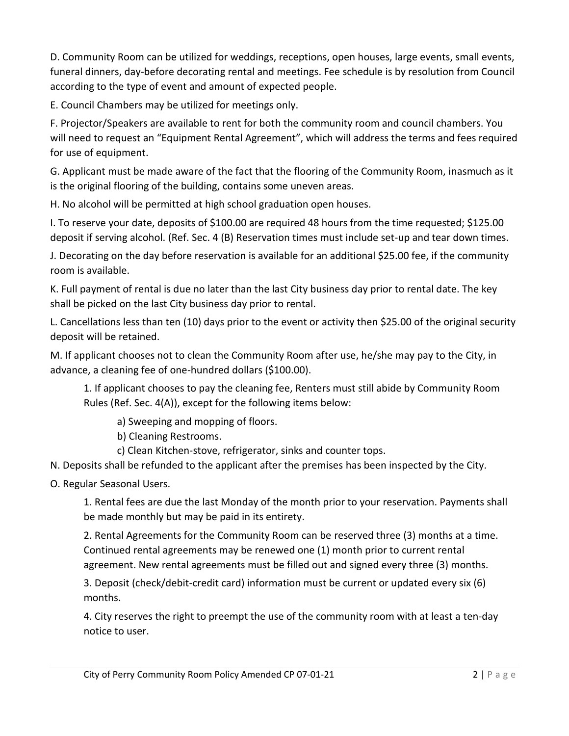D. Community Room can be utilized for weddings, receptions, open houses, large events, small events, funeral dinners, day-before decorating rental and meetings. Fee schedule is by resolution from Council according to the type of event and amount of expected people.

E. Council Chambers may be utilized for meetings only.

F. Projector/Speakers are available to rent for both the community room and council chambers. You will need to request an "Equipment Rental Agreement", which will address the terms and fees required for use of equipment.

G. Applicant must be made aware of the fact that the flooring of the Community Room, inasmuch as it is the original flooring of the building, contains some uneven areas.

H. No alcohol will be permitted at high school graduation open houses.

I. To reserve your date, deposits of \$100.00 are required 48 hours from the time requested; \$125.00 deposit if serving alcohol. (Ref. Sec. 4 (B) Reservation times must include set-up and tear down times.

J. Decorating on the day before reservation is available for an additional \$25.00 fee, if the community room is available.

K. Full payment of rental is due no later than the last City business day prior to rental date. The key shall be picked on the last City business day prior to rental.

L. Cancellations less than ten (10) days prior to the event or activity then \$25.00 of the original security deposit will be retained.

M. If applicant chooses not to clean the Community Room after use, he/she may pay to the City, in advance, a cleaning fee of one-hundred dollars (\$100.00).

1. If applicant chooses to pay the cleaning fee, Renters must still abide by Community Room Rules (Ref. Sec. 4(A)), except for the following items below:

a) Sweeping and mopping of floors.

b) Cleaning Restrooms.

c) Clean Kitchen-stove, refrigerator, sinks and counter tops.

N. Deposits shall be refunded to the applicant after the premises has been inspected by the City.

O. Regular Seasonal Users.

1. Rental fees are due the last Monday of the month prior to your reservation. Payments shall be made monthly but may be paid in its entirety.

2. Rental Agreements for the Community Room can be reserved three (3) months at a time. Continued rental agreements may be renewed one (1) month prior to current rental agreement. New rental agreements must be filled out and signed every three (3) months.

3. Deposit (check/debit-credit card) information must be current or updated every six (6) months.

4. City reserves the right to preempt the use of the community room with at least a ten-day notice to user.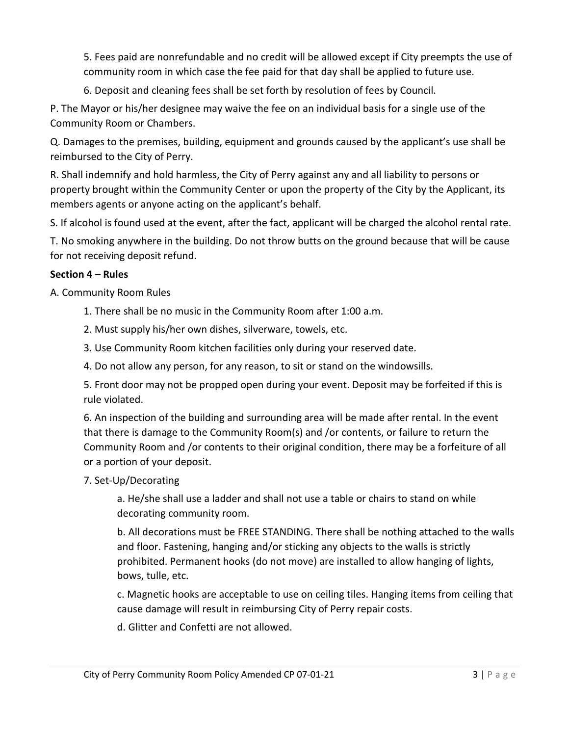5. Fees paid are nonrefundable and no credit will be allowed except if City preempts the use of community room in which case the fee paid for that day shall be applied to future use.

6. Deposit and cleaning fees shall be set forth by resolution of fees by Council.

P. The Mayor or his/her designee may waive the fee on an individual basis for a single use of the Community Room or Chambers.

Q. Damages to the premises, building, equipment and grounds caused by the applicant's use shall be reimbursed to the City of Perry.

R. Shall indemnify and hold harmless, the City of Perry against any and all liability to persons or property brought within the Community Center or upon the property of the City by the Applicant, its members agents or anyone acting on the applicant's behalf.

S. If alcohol is found used at the event, after the fact, applicant will be charged the alcohol rental rate.

T. No smoking anywhere in the building. Do not throw butts on the ground because that will be cause for not receiving deposit refund.

## **Section 4 – Rules**

A. Community Room Rules

- 1. There shall be no music in the Community Room after 1:00 a.m.
- 2. Must supply his/her own dishes, silverware, towels, etc.
- 3. Use Community Room kitchen facilities only during your reserved date.
- 4. Do not allow any person, for any reason, to sit or stand on the windowsills.

5. Front door may not be propped open during your event. Deposit may be forfeited if this is rule violated.

6. An inspection of the building and surrounding area will be made after rental. In the event that there is damage to the Community Room(s) and /or contents, or failure to return the Community Room and /or contents to their original condition, there may be a forfeiture of all or a portion of your deposit.

## 7. Set-Up/Decorating

a. He/she shall use a ladder and shall not use a table or chairs to stand on while decorating community room.

b. All decorations must be FREE STANDING. There shall be nothing attached to the walls and floor. Fastening, hanging and/or sticking any objects to the walls is strictly prohibited. Permanent hooks (do not move) are installed to allow hanging of lights, bows, tulle, etc.

c. Magnetic hooks are acceptable to use on ceiling tiles. Hanging items from ceiling that cause damage will result in reimbursing City of Perry repair costs.

d. Glitter and Confetti are not allowed.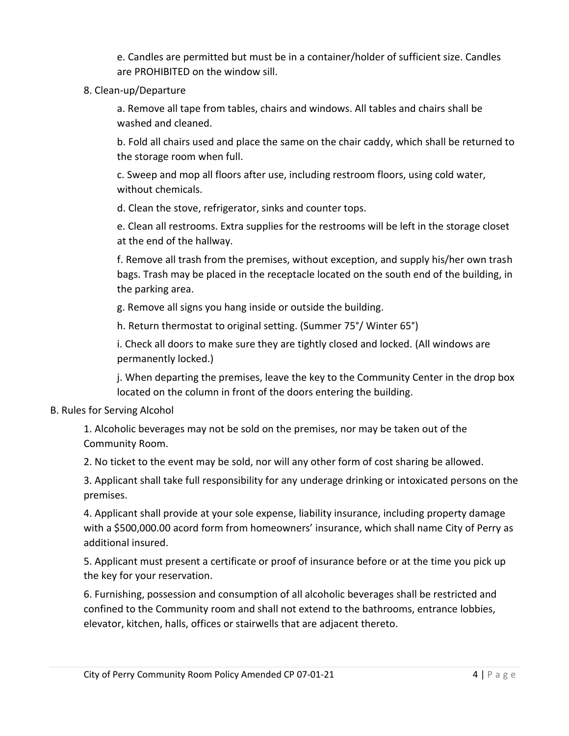e. Candles are permitted but must be in a container/holder of sufficient size. Candles are PROHIBITED on the window sill.

## 8. Clean-up/Departure

a. Remove all tape from tables, chairs and windows. All tables and chairs shall be washed and cleaned.

b. Fold all chairs used and place the same on the chair caddy, which shall be returned to the storage room when full.

c. Sweep and mop all floors after use, including restroom floors, using cold water, without chemicals.

d. Clean the stove, refrigerator, sinks and counter tops.

e. Clean all restrooms. Extra supplies for the restrooms will be left in the storage closet at the end of the hallway.

f. Remove all trash from the premises, without exception, and supply his/her own trash bags. Trash may be placed in the receptacle located on the south end of the building, in the parking area.

g. Remove all signs you hang inside or outside the building.

h. Return thermostat to original setting. (Summer 75°/ Winter 65°)

i. Check all doors to make sure they are tightly closed and locked. (All windows are permanently locked.)

j. When departing the premises, leave the key to the Community Center in the drop box located on the column in front of the doors entering the building.

#### B. Rules for Serving Alcohol

1. Alcoholic beverages may not be sold on the premises, nor may be taken out of the Community Room.

2. No ticket to the event may be sold, nor will any other form of cost sharing be allowed.

3. Applicant shall take full responsibility for any underage drinking or intoxicated persons on the premises.

4. Applicant shall provide at your sole expense, liability insurance, including property damage with a \$500,000.00 acord form from homeowners' insurance, which shall name City of Perry as additional insured.

5. Applicant must present a certificate or proof of insurance before or at the time you pick up the key for your reservation.

6. Furnishing, possession and consumption of all alcoholic beverages shall be restricted and confined to the Community room and shall not extend to the bathrooms, entrance lobbies, elevator, kitchen, halls, offices or stairwells that are adjacent thereto.